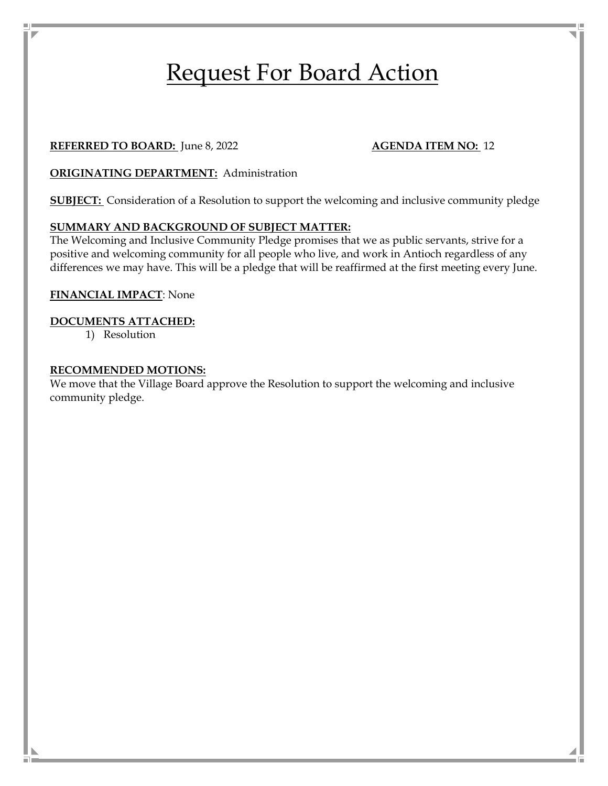# Request For Board Action

#### **REFERRED TO BOARD:** June 8, 2022 **AGENDA ITEM NO:** 12

**ORIGINATING DEPARTMENT:** Administration

**SUBJECT:** Consideration of a Resolution to support the welcoming and inclusive community pledge

#### **SUMMARY AND BACKGROUND OF SUBJECT MATTER:**

The Welcoming and Inclusive Community Pledge promises that we as public servants, strive for a positive and welcoming community for all people who live, and work in Antioch regardless of any differences we may have. This will be a pledge that will be reaffirmed at the first meeting every June.

#### **FINANCIAL IMPACT**: None

#### **DOCUMENTS ATTACHED:**

1) Resolution

#### **RECOMMENDED MOTIONS:**

We move that the Village Board approve the Resolution to support the welcoming and inclusive community pledge.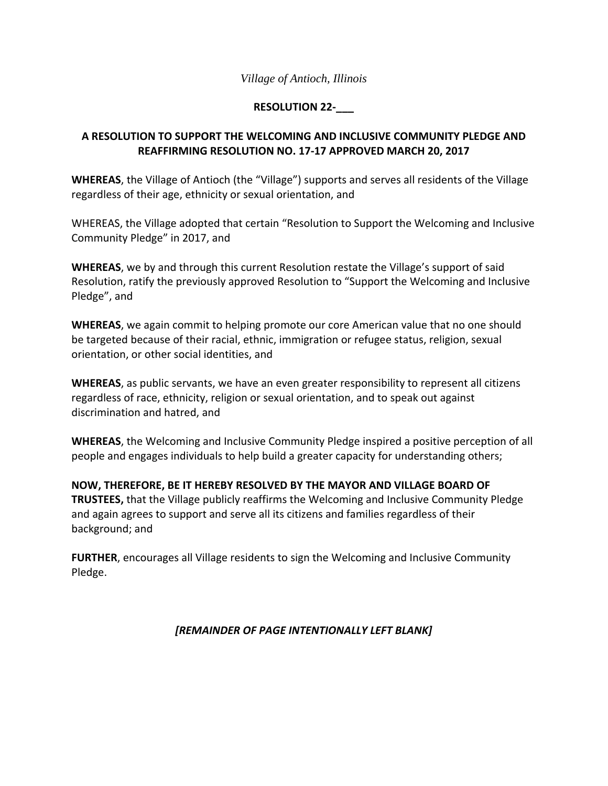#### *Village of Antioch, Illinois*

#### **RESOLUTION 22‐\_\_\_**

#### **A RESOLUTION TO SUPPORT THE WELCOMING AND INCLUSIVE COMMUNITY PLEDGE AND REAFFIRMING RESOLUTION NO. 17‐17 APPROVED MARCH 20, 2017**

**WHEREAS**, the Village of Antioch (the "Village") supports and serves all residents of the Village regardless of their age, ethnicity or sexual orientation, and

WHEREAS, the Village adopted that certain "Resolution to Support the Welcoming and Inclusive Community Pledge" in 2017, and

**WHEREAS**, we by and through this current Resolution restate the Village's support of said Resolution, ratify the previously approved Resolution to "Support the Welcoming and Inclusive Pledge", and

**WHEREAS**, we again commit to helping promote our core American value that no one should be targeted because of their racial, ethnic, immigration or refugee status, religion, sexual orientation, or other social identities, and

**WHEREAS**, as public servants, we have an even greater responsibility to represent all citizens regardless of race, ethnicity, religion or sexual orientation, and to speak out against discrimination and hatred, and

**WHEREAS**, the Welcoming and Inclusive Community Pledge inspired a positive perception of all people and engages individuals to help build a greater capacity for understanding others;

**NOW, THEREFORE, BE IT HEREBY RESOLVED BY THE MAYOR AND VILLAGE BOARD OF TRUSTEES,** that the Village publicly reaffirms the Welcoming and Inclusive Community Pledge and again agrees to support and serve all its citizens and families regardless of their background; and

**FURTHER**, encourages all Village residents to sign the Welcoming and Inclusive Community Pledge.

#### *[REMAINDER OF PAGE INTENTIONALLY LEFT BLANK]*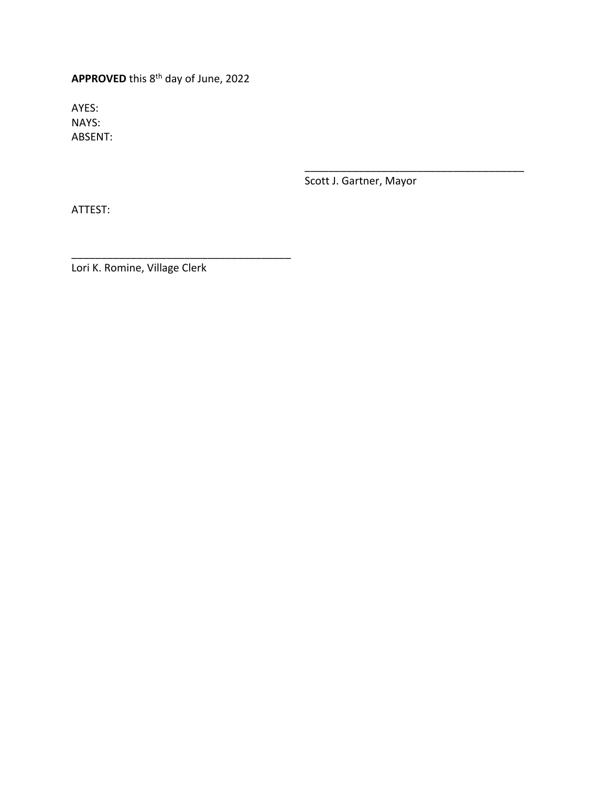**APPROVED** this 8th day of June, 2022

AYES: NAYS: ABSENT:

Scott J. Gartner, Mayor

\_\_\_\_\_\_\_\_\_\_\_\_\_\_\_\_\_\_\_\_\_\_\_\_\_\_\_\_\_\_\_\_\_\_\_\_\_

ATTEST:

Lori K. Romine, Village Clerk

\_\_\_\_\_\_\_\_\_\_\_\_\_\_\_\_\_\_\_\_\_\_\_\_\_\_\_\_\_\_\_\_\_\_\_\_\_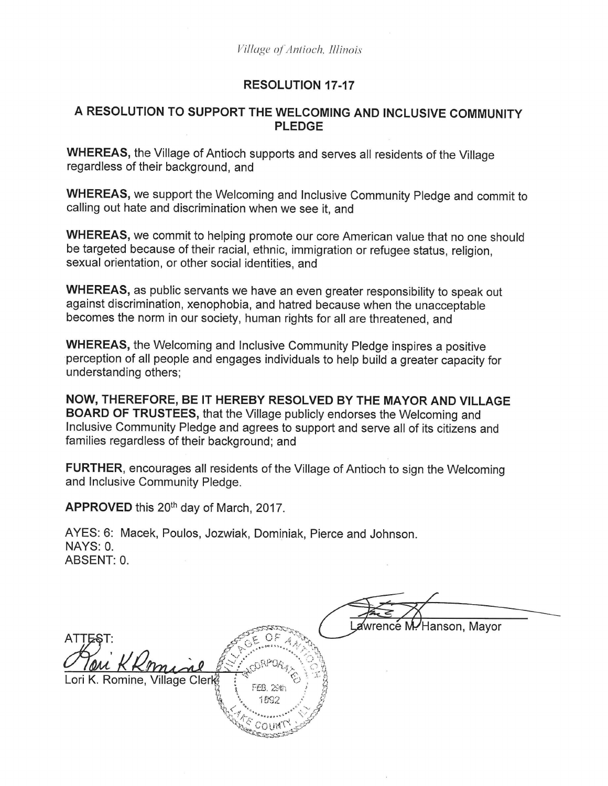### **RESOLUTION 17-17**

#### A RESOLUTION TO SUPPORT THE WELCOMING AND INCLUSIVE COMMUNITY PLEDGE

WHEREAS, the Village of Antioch supports and serves all residents of the Village regardless of their background, and

WHEREAS, we support the Welcoming and Inclusive Community Pledge and commit to calling out hate and discrimination when we see it, and

WHEREAS, we commit to helping promote our core American value that no one should be targeted because of their racial, ethnic, immigration or refugee status, religion, sexual orientation, or other social identities, and

WHEREAS, as public servants we have an even greater responsibility to speak out against discrimination, xenophobia, and hatred because when the unacceptable becomes the norm in our society, human rights for all are threatened, and

WHEREAS, the Welcoming and Inclusive Community Pledge inspires a positive perception of all people and engages individuals to help build a greater capacity for understanding others;

NOW, THEREFORE, BE IT HEREBY RESOLVED BY THE MAYOR AND VILLAGE BOARD OF TRUSTEES, that the Village publicly endorses the Welcoming and Inclusive Community Pledge and agrees to support and serve all of its citizens and families regardless of their background; and

FURTHER, encourages all residents of the Village of Antioch to sign the Welcoming and Inclusive Community Pledge.

APPROVED this 20<sup>th</sup> day of March, 2017.

AYES: 6: Macek, Poulos, Jozwiak, Dominiak, Pierce and Johnson. NAYS: 0. ABSENT: 0.

/Hanson, Mayor  $\mathsf{ATTEST}\colon$ K. Romine, Village Cler  $\mathcal{E}_{\mathcal{A}^{\ast}}$ **ALESSOR**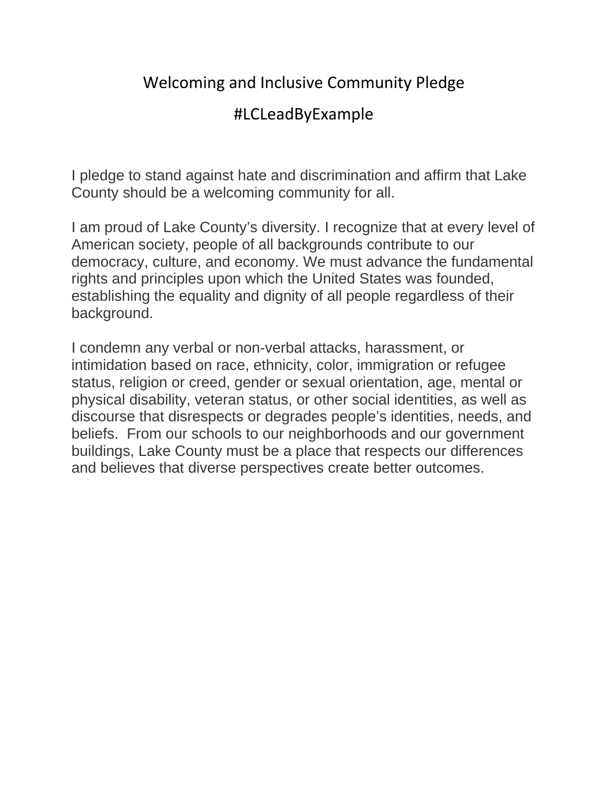# Welcoming and Inclusive Community Pledge

## #LCLeadByExample

I pledge to stand against hate and discrimination and affirm that Lake County should be a welcoming community for all.

I am proud of Lake County's diversity. I recognize that at every level of American society, people of all backgrounds contribute to our democracy, culture, and economy. We must advance the fundamental rights and principles upon which the United States was founded, establishing the equality and dignity of all people regardless of their background.

I condemn any verbal or non-verbal attacks, harassment, or intimidation based on race, ethnicity, color, immigration or refugee status, religion or creed, gender or sexual orientation, age, mental or physical disability, veteran status, or other social identities, as well as discourse that disrespects or degrades people's identities, needs, and beliefs. From our schools to our neighborhoods and our government buildings, Lake County must be a place that respects our differences and believes that diverse perspectives create better outcomes.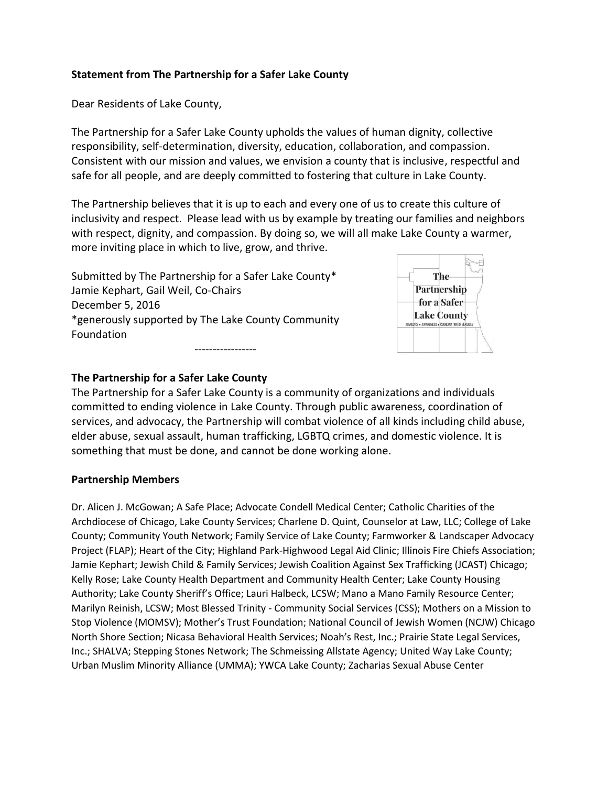#### **Statement from The Partnership for a Safer Lake County**

Dear Residents of Lake County,

The Partnership for a Safer Lake County upholds the values of human dignity, collective responsibility, self-determination, diversity, education, collaboration, and compassion. Consistent with our mission and values, we envision a county that is inclusive, respectful and safe for all people, and are deeply committed to fostering that culture in Lake County.

The Partnership believes that it is up to each and every one of us to create this culture of inclusivity and respect. Please lead with us by example by treating our families and neighbors with respect, dignity, and compassion. By doing so, we will all make Lake County a warmer, more inviting place in which to live, grow, and thrive.

Submitted by The Partnership for a Safer Lake County\* Jamie Kephart, Gail Weil, Co-Chairs December 5, 2016 \*generously supported by The Lake County Community Foundation -----------------



#### **The Partnership for a Safer Lake County**

The Partnership for a Safer Lake County is a community of organizations and individuals committed to ending violence in Lake County. Through public awareness, coordination of services, and advocacy, the Partnership will combat violence of all kinds including child abuse, elder abuse, sexual assault, human trafficking, LGBTQ crimes, and domestic violence. It is something that must be done, and cannot be done working alone.

#### **Partnership Members**

Dr. Alicen J. McGowan; A Safe Place; Advocate Condell Medical Center; Catholic Charities of the Archdiocese of Chicago, Lake County Services; Charlene D. Quint, Counselor at Law, LLC; College of Lake County; Community Youth Network; Family Service of Lake County; Farmworker & Landscaper Advocacy Project (FLAP); Heart of the City; Highland Park-Highwood Legal Aid Clinic; Illinois Fire Chiefs Association; Jamie Kephart; Jewish Child & Family Services; Jewish Coalition Against Sex Trafficking (JCAST) Chicago; Kelly Rose; Lake County Health Department and Community Health Center; Lake County Housing Authority; Lake County Sheriff's Office; Lauri Halbeck, LCSW; Mano a Mano Family Resource Center; Marilyn Reinish, LCSW; Most Blessed Trinity - Community Social Services (CSS); Mothers on a Mission to Stop Violence (MOMSV); Mother's Trust Foundation; National Council of Jewish Women (NCJW) Chicago North Shore Section; Nicasa Behavioral Health Services; Noah's Rest, Inc.; Prairie State Legal Services, Inc.; SHALVA; Stepping Stones Network; The Schmeissing Allstate Agency; United Way Lake County; Urban Muslim Minority Alliance (UMMA); YWCA Lake County; Zacharias Sexual Abuse Center